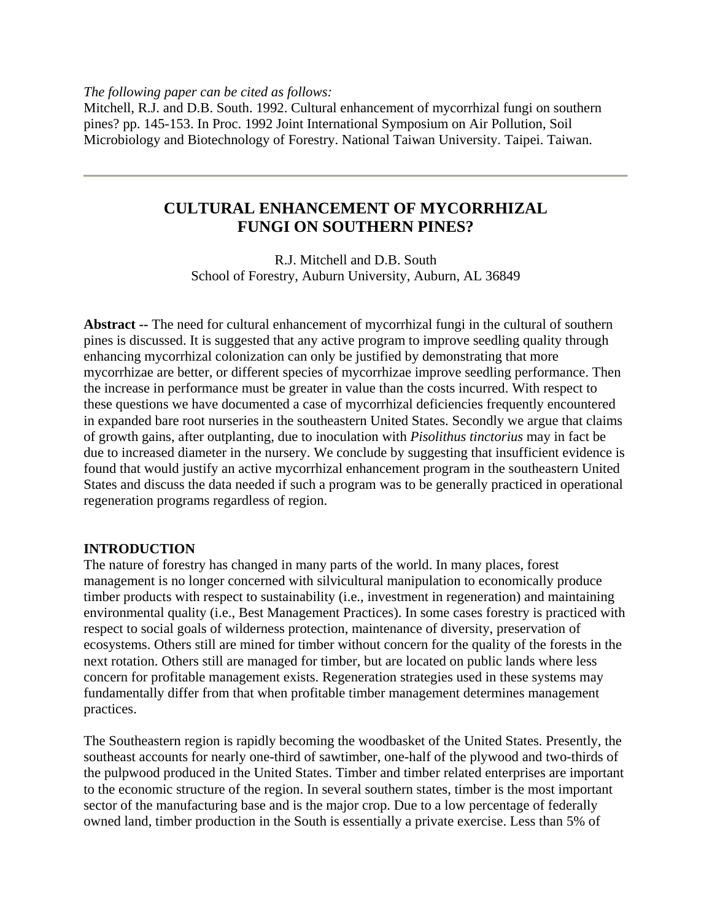*The following paper can be cited as follows:* 

Mitchell, R.J. and D.B. South. 1992. Cultural enhancement of mycorrhizal fungi on southern pines? pp. 145-153. In Proc. 1992 Joint International Symposium on Air Pollution, Soil Microbiology and Biotechnology of Forestry. National Taiwan University. Taipei. Taiwan.

# **CULTURAL ENHANCEMENT OF MYCORRHIZAL FUNGI ON SOUTHERN PINES?**

R.J. Mitchell and D.B. South School of Forestry, Auburn University, Auburn, AL 36849

**Abstract --** The need for cultural enhancement of mycorrhizal fungi in the cultural of southern pines is discussed. It is suggested that any active program to improve seedling quality through enhancing mycorrhizal colonization can only be justified by demonstrating that more mycorrhizae are better, or different species of mycorrhizae improve seedling performance. Then the increase in performance must be greater in value than the costs incurred. With respect to these questions we have documented a case of mycorrhizal deficiencies frequently encountered in expanded bare root nurseries in the southeastern United States. Secondly we argue that claims of growth gains, after outplanting, due to inoculation with *Pisolithus tinctorius* may in fact be due to increased diameter in the nursery. We conclude by suggesting that insufficient evidence is found that would justify an active mycorrhizal enhancement program in the southeastern United States and discuss the data needed if such a program was to be generally practiced in operational regeneration programs regardless of region.

## **INTRODUCTION**

The nature of forestry has changed in many parts of the world. In many places, forest management is no longer concerned with silvicultural manipulation to economically produce timber products with respect to sustainability (i.e., investment in regeneration) and maintaining environmental quality (i.e., Best Management Practices). In some cases forestry is practiced with respect to social goals of wilderness protection, maintenance of diversity, preservation of ecosystems. Others still are mined for timber without concern for the quality of the forests in the next rotation. Others still are managed for timber, but are located on public lands where less concern for profitable management exists. Regeneration strategies used in these systems may fundamentally differ from that when profitable timber management determines management practices.

The Southeastern region is rapidly becoming the woodbasket of the United States. Presently, the southeast accounts for nearly one-third of sawtimber, one-half of the plywood and two-thirds of the pulpwood produced in the United States. Timber and timber related enterprises are important to the economic structure of the region. In several southern states, timber is the most important sector of the manufacturing base and is the major crop. Due to a low percentage of federally owned land, timber production in the South is essentially a private exercise. Less than 5% of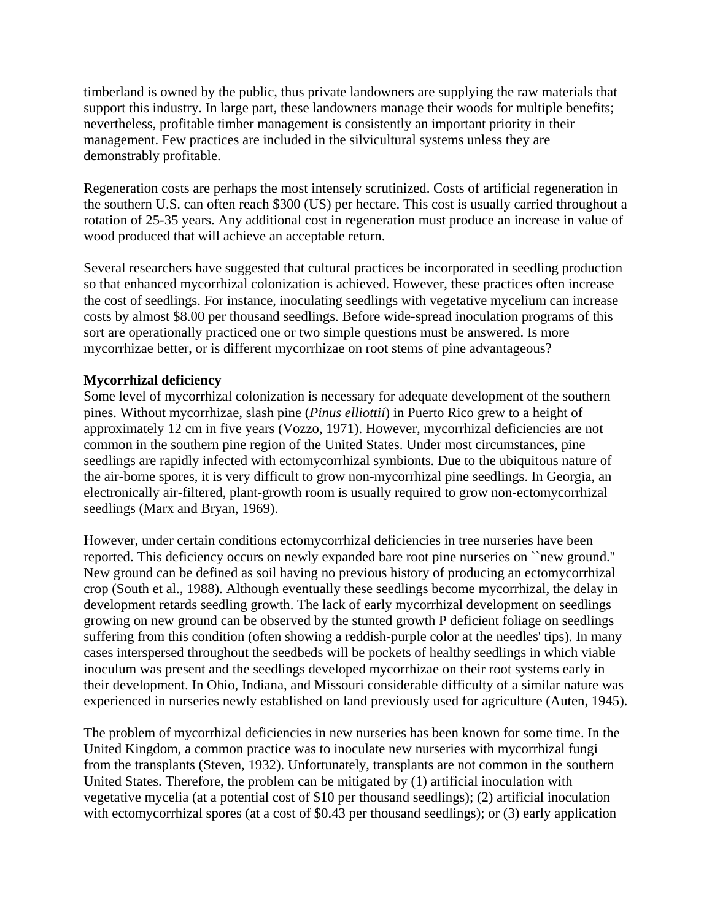timberland is owned by the public, thus private landowners are supplying the raw materials that support this industry. In large part, these landowners manage their woods for multiple benefits; nevertheless, profitable timber management is consistently an important priority in their management. Few practices are included in the silvicultural systems unless they are demonstrably profitable.

Regeneration costs are perhaps the most intensely scrutinized. Costs of artificial regeneration in the southern U.S. can often reach \$300 (US) per hectare. This cost is usually carried throughout a rotation of 25-35 years. Any additional cost in regeneration must produce an increase in value of wood produced that will achieve an acceptable return.

Several researchers have suggested that cultural practices be incorporated in seedling production so that enhanced mycorrhizal colonization is achieved. However, these practices often increase the cost of seedlings. For instance, inoculating seedlings with vegetative mycelium can increase costs by almost \$8.00 per thousand seedlings. Before wide-spread inoculation programs of this sort are operationally practiced one or two simple questions must be answered. Is more mycorrhizae better, or is different mycorrhizae on root stems of pine advantageous?

## **Mycorrhizal deficiency**

Some level of mycorrhizal colonization is necessary for adequate development of the southern pines. Without mycorrhizae, slash pine (*Pinus elliottii*) in Puerto Rico grew to a height of approximately 12 cm in five years (Vozzo, 1971). However, mycorrhizal deficiencies are not common in the southern pine region of the United States. Under most circumstances, pine seedlings are rapidly infected with ectomycorrhizal symbionts. Due to the ubiquitous nature of the air-borne spores, it is very difficult to grow non-mycorrhizal pine seedlings. In Georgia, an electronically air-filtered, plant-growth room is usually required to grow non-ectomycorrhizal seedlings (Marx and Bryan, 1969).

However, under certain conditions ectomycorrhizal deficiencies in tree nurseries have been reported. This deficiency occurs on newly expanded bare root pine nurseries on ``new ground.'' New ground can be defined as soil having no previous history of producing an ectomycorrhizal crop (South et al., 1988). Although eventually these seedlings become mycorrhizal, the delay in development retards seedling growth. The lack of early mycorrhizal development on seedlings growing on new ground can be observed by the stunted growth P deficient foliage on seedlings suffering from this condition (often showing a reddish-purple color at the needles' tips). In many cases interspersed throughout the seedbeds will be pockets of healthy seedlings in which viable inoculum was present and the seedlings developed mycorrhizae on their root systems early in their development. In Ohio, Indiana, and Missouri considerable difficulty of a similar nature was experienced in nurseries newly established on land previously used for agriculture (Auten, 1945).

The problem of mycorrhizal deficiencies in new nurseries has been known for some time. In the United Kingdom, a common practice was to inoculate new nurseries with mycorrhizal fungi from the transplants (Steven, 1932). Unfortunately, transplants are not common in the southern United States. Therefore, the problem can be mitigated by (1) artificial inoculation with vegetative mycelia (at a potential cost of \$10 per thousand seedlings); (2) artificial inoculation with ectomycorrhizal spores (at a cost of \$0.43 per thousand seedlings); or (3) early application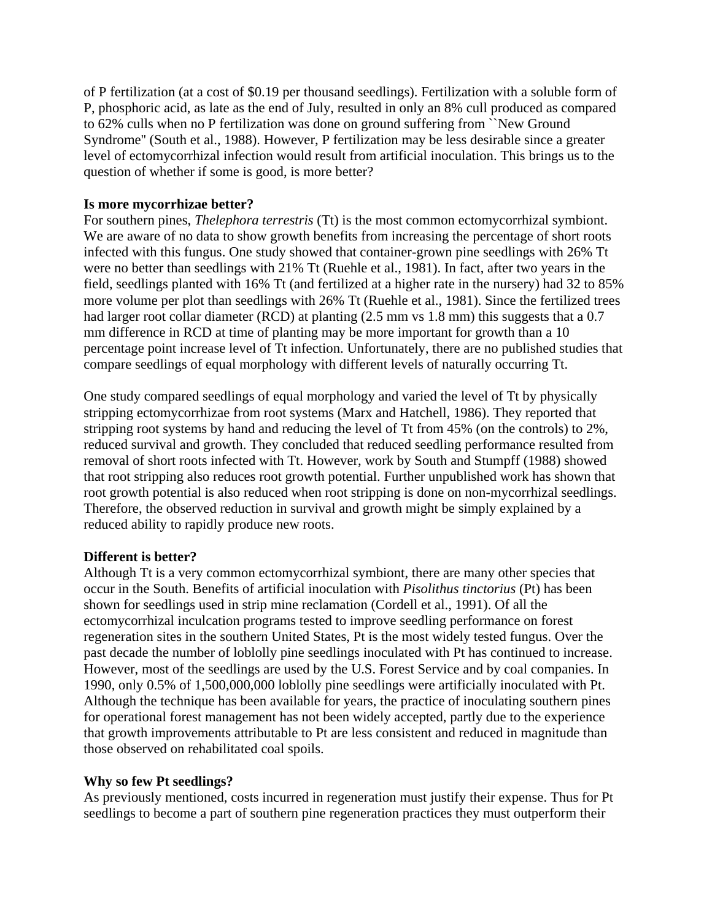of P fertilization (at a cost of \$0.19 per thousand seedlings). Fertilization with a soluble form of P, phosphoric acid, as late as the end of July, resulted in only an 8% cull produced as compared to 62% culls when no P fertilization was done on ground suffering from ``New Ground Syndrome'' (South et al., 1988). However, P fertilization may be less desirable since a greater level of ectomycorrhizal infection would result from artificial inoculation. This brings us to the question of whether if some is good, is more better?

## **Is more mycorrhizae better?**

For southern pines, *Thelephora terrestris* (Tt) is the most common ectomycorrhizal symbiont. We are aware of no data to show growth benefits from increasing the percentage of short roots infected with this fungus. One study showed that container-grown pine seedlings with 26% Tt were no better than seedlings with 21% Tt (Ruehle et al., 1981). In fact, after two years in the field, seedlings planted with 16% Tt (and fertilized at a higher rate in the nursery) had 32 to 85% more volume per plot than seedlings with 26% Tt (Ruehle et al., 1981). Since the fertilized trees had larger root collar diameter (RCD) at planting (2.5 mm vs 1.8 mm) this suggests that a 0.7 mm difference in RCD at time of planting may be more important for growth than a 10 percentage point increase level of Tt infection. Unfortunately, there are no published studies that compare seedlings of equal morphology with different levels of naturally occurring Tt.

One study compared seedlings of equal morphology and varied the level of Tt by physically stripping ectomycorrhizae from root systems (Marx and Hatchell, 1986). They reported that stripping root systems by hand and reducing the level of Tt from 45% (on the controls) to 2%, reduced survival and growth. They concluded that reduced seedling performance resulted from removal of short roots infected with Tt. However, work by South and Stumpff (1988) showed that root stripping also reduces root growth potential. Further unpublished work has shown that root growth potential is also reduced when root stripping is done on non-mycorrhizal seedlings. Therefore, the observed reduction in survival and growth might be simply explained by a reduced ability to rapidly produce new roots.

## **Different is better?**

Although Tt is a very common ectomycorrhizal symbiont, there are many other species that occur in the South. Benefits of artificial inoculation with *Pisolithus tinctorius* (Pt) has been shown for seedlings used in strip mine reclamation (Cordell et al., 1991). Of all the ectomycorrhizal inculcation programs tested to improve seedling performance on forest regeneration sites in the southern United States, Pt is the most widely tested fungus. Over the past decade the number of loblolly pine seedlings inoculated with Pt has continued to increase. However, most of the seedlings are used by the U.S. Forest Service and by coal companies. In 1990, only 0.5% of 1,500,000,000 loblolly pine seedlings were artificially inoculated with Pt. Although the technique has been available for years, the practice of inoculating southern pines for operational forest management has not been widely accepted, partly due to the experience that growth improvements attributable to Pt are less consistent and reduced in magnitude than those observed on rehabilitated coal spoils.

## **Why so few Pt seedlings?**

As previously mentioned, costs incurred in regeneration must justify their expense. Thus for Pt seedlings to become a part of southern pine regeneration practices they must outperform their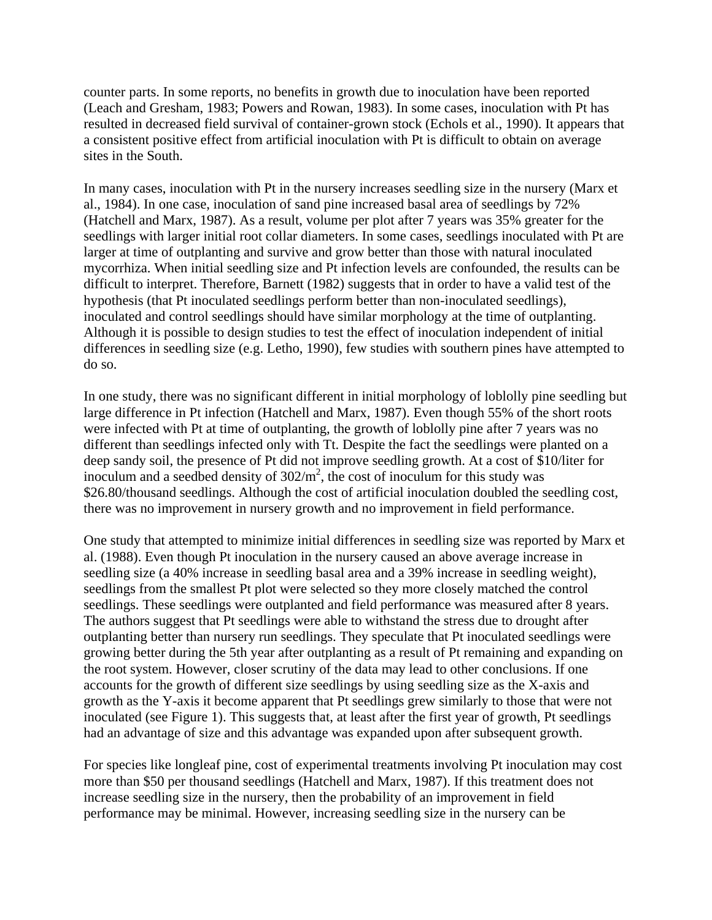counter parts. In some reports, no benefits in growth due to inoculation have been reported (Leach and Gresham, 1983; Powers and Rowan, 1983). In some cases, inoculation with Pt has resulted in decreased field survival of container-grown stock (Echols et al., 1990). It appears that a consistent positive effect from artificial inoculation with Pt is difficult to obtain on average sites in the South.

In many cases, inoculation with Pt in the nursery increases seedling size in the nursery (Marx et al., 1984). In one case, inoculation of sand pine increased basal area of seedlings by 72% (Hatchell and Marx, 1987). As a result, volume per plot after 7 years was 35% greater for the seedlings with larger initial root collar diameters. In some cases, seedlings inoculated with Pt are larger at time of outplanting and survive and grow better than those with natural inoculated mycorrhiza. When initial seedling size and Pt infection levels are confounded, the results can be difficult to interpret. Therefore, Barnett (1982) suggests that in order to have a valid test of the hypothesis (that Pt inoculated seedlings perform better than non-inoculated seedlings), inoculated and control seedlings should have similar morphology at the time of outplanting. Although it is possible to design studies to test the effect of inoculation independent of initial differences in seedling size (e.g. Letho, 1990), few studies with southern pines have attempted to do so.

In one study, there was no significant different in initial morphology of loblolly pine seedling but large difference in Pt infection (Hatchell and Marx, 1987). Even though 55% of the short roots were infected with Pt at time of outplanting, the growth of loblolly pine after 7 years was no different than seedlings infected only with Tt. Despite the fact the seedlings were planted on a deep sandy soil, the presence of Pt did not improve seedling growth. At a cost of \$10/liter for inoculum and a seedbed density of  $302/m^2$ , the cost of inoculum for this study was \$26.80/thousand seedlings. Although the cost of artificial inoculation doubled the seedling cost, there was no improvement in nursery growth and no improvement in field performance.

One study that attempted to minimize initial differences in seedling size was reported by Marx et al. (1988). Even though Pt inoculation in the nursery caused an above average increase in seedling size (a 40% increase in seedling basal area and a 39% increase in seedling weight), seedlings from the smallest Pt plot were selected so they more closely matched the control seedlings. These seedlings were outplanted and field performance was measured after 8 years. The authors suggest that Pt seedlings were able to withstand the stress due to drought after outplanting better than nursery run seedlings. They speculate that Pt inoculated seedlings were growing better during the 5th year after outplanting as a result of Pt remaining and expanding on the root system. However, closer scrutiny of the data may lead to other conclusions. If one accounts for the growth of different size seedlings by using seedling size as the X-axis and growth as the Y-axis it become apparent that Pt seedlings grew similarly to those that were not inoculated (see Figure 1). This suggests that, at least after the first year of growth, Pt seedlings had an advantage of size and this advantage was expanded upon after subsequent growth.

For species like longleaf pine, cost of experimental treatments involving Pt inoculation may cost more than \$50 per thousand seedlings (Hatchell and Marx, 1987). If this treatment does not increase seedling size in the nursery, then the probability of an improvement in field performance may be minimal. However, increasing seedling size in the nursery can be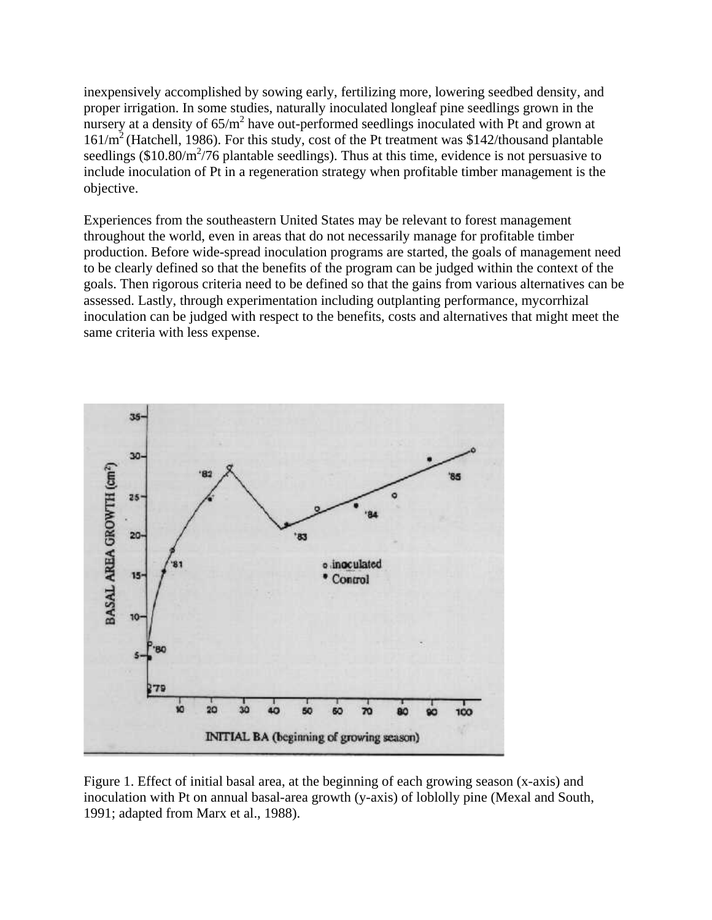inexpensively accomplished by sowing early, fertilizing more, lowering seedbed density, and proper irrigation. In some studies, naturally inoculated longleaf pine seedlings grown in the nursery at a density of  $65/m^2$  have out-performed seedlings inoculated with Pt and grown at  $161/m^2$  (Hatchell, 1986). For this study, cost of the Pt treatment was \$142/thousand plantable seedlings  $(\$10.80/m^2/76$  plantable seedlings). Thus at this time, evidence is not persuasive to include inoculation of Pt in a regeneration strategy when profitable timber management is the objective.

Experiences from the southeastern United States may be relevant to forest management throughout the world, even in areas that do not necessarily manage for profitable timber production. Before wide-spread inoculation programs are started, the goals of management need to be clearly defined so that the benefits of the program can be judged within the context of the goals. Then rigorous criteria need to be defined so that the gains from various alternatives can be assessed. Lastly, through experimentation including outplanting performance, mycorrhizal inoculation can be judged with respect to the benefits, costs and alternatives that might meet the same criteria with less expense.



Figure 1. Effect of initial basal area, at the beginning of each growing season (x-axis) and inoculation with Pt on annual basal-area growth (y-axis) of loblolly pine (Mexal and South, 1991; adapted from Marx et al., 1988).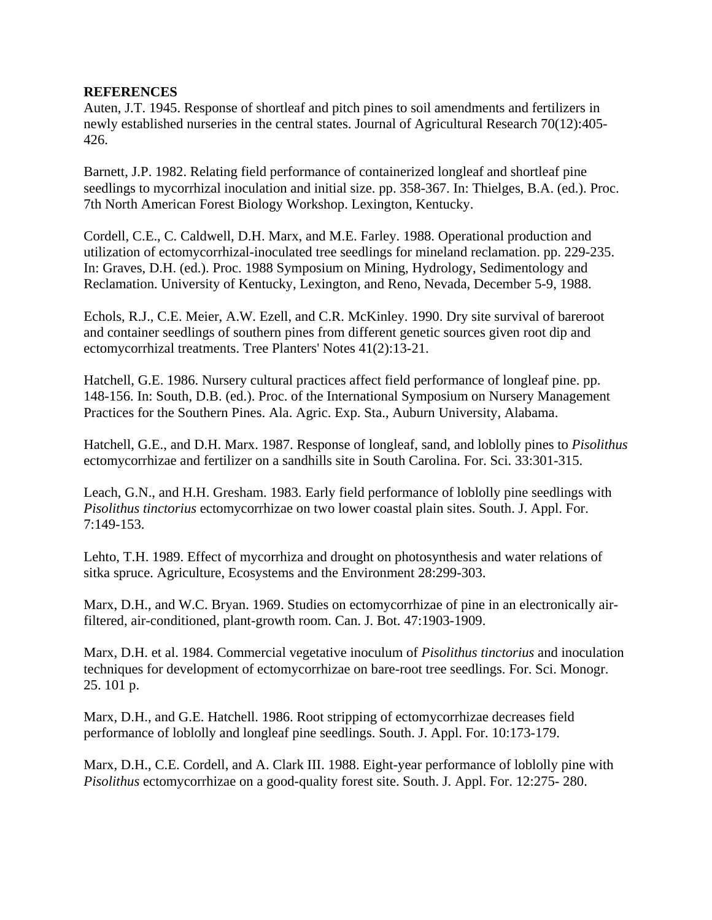## **REFERENCES**

Auten, J.T. 1945. Response of shortleaf and pitch pines to soil amendments and fertilizers in newly established nurseries in the central states. Journal of Agricultural Research 70(12):405- 426.

Barnett, J.P. 1982. Relating field performance of containerized longleaf and shortleaf pine seedlings to mycorrhizal inoculation and initial size. pp. 358-367. In: Thielges, B.A. (ed.). Proc. 7th North American Forest Biology Workshop. Lexington, Kentucky.

Cordell, C.E., C. Caldwell, D.H. Marx, and M.E. Farley. 1988. Operational production and utilization of ectomycorrhizal-inoculated tree seedlings for mineland reclamation. pp. 229-235. In: Graves, D.H. (ed.). Proc. 1988 Symposium on Mining, Hydrology, Sedimentology and Reclamation. University of Kentucky, Lexington, and Reno, Nevada, December 5-9, 1988.

Echols, R.J., C.E. Meier, A.W. Ezell, and C.R. McKinley. 1990. Dry site survival of bareroot and container seedlings of southern pines from different genetic sources given root dip and ectomycorrhizal treatments. Tree Planters' Notes 41(2):13-21.

Hatchell, G.E. 1986. Nursery cultural practices affect field performance of longleaf pine. pp. 148-156. In: South, D.B. (ed.). Proc. of the International Symposium on Nursery Management Practices for the Southern Pines. Ala. Agric. Exp. Sta., Auburn University, Alabama.

Hatchell, G.E., and D.H. Marx. 1987. Response of longleaf, sand, and loblolly pines to *Pisolithus* ectomycorrhizae and fertilizer on a sandhills site in South Carolina. For. Sci. 33:301-315.

Leach, G.N., and H.H. Gresham. 1983. Early field performance of loblolly pine seedlings with *Pisolithus tinctorius* ectomycorrhizae on two lower coastal plain sites. South. J. Appl. For. 7:149-153.

Lehto, T.H. 1989. Effect of mycorrhiza and drought on photosynthesis and water relations of sitka spruce. Agriculture, Ecosystems and the Environment 28:299-303.

Marx, D.H., and W.C. Bryan. 1969. Studies on ectomycorrhizae of pine in an electronically airfiltered, air-conditioned, plant-growth room. Can. J. Bot. 47:1903-1909.

Marx, D.H. et al. 1984. Commercial vegetative inoculum of *Pisolithus tinctorius* and inoculation techniques for development of ectomycorrhizae on bare-root tree seedlings. For. Sci. Monogr. 25. 101 p.

Marx, D.H., and G.E. Hatchell. 1986. Root stripping of ectomycorrhizae decreases field performance of loblolly and longleaf pine seedlings. South. J. Appl. For. 10:173-179.

Marx, D.H., C.E. Cordell, and A. Clark III. 1988. Eight-year performance of loblolly pine with *Pisolithus* ectomycorrhizae on a good-quality forest site. South. J. Appl. For. 12:275- 280.